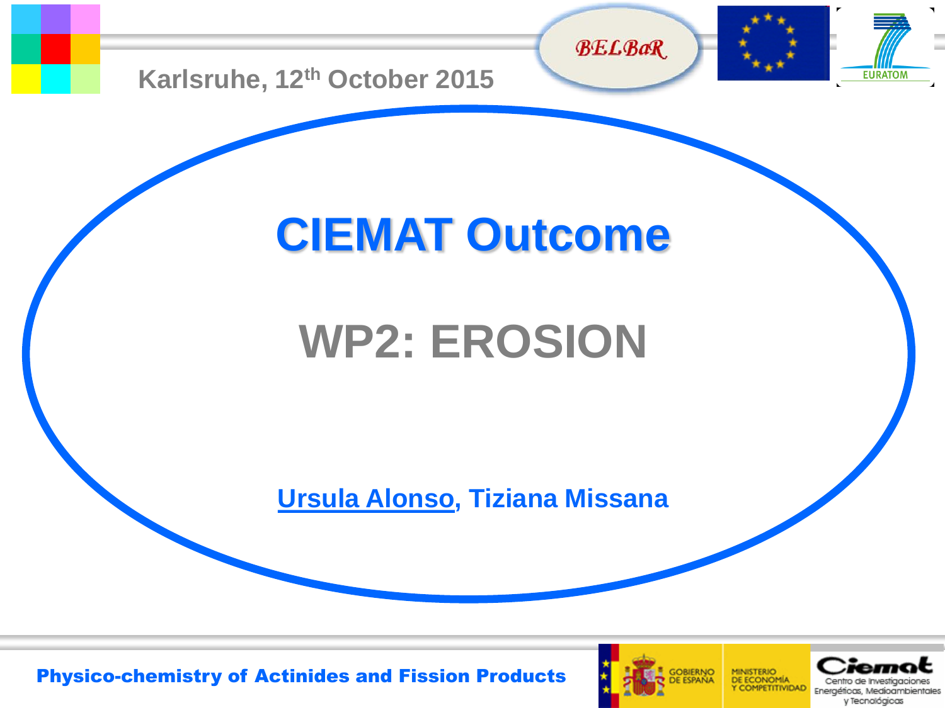



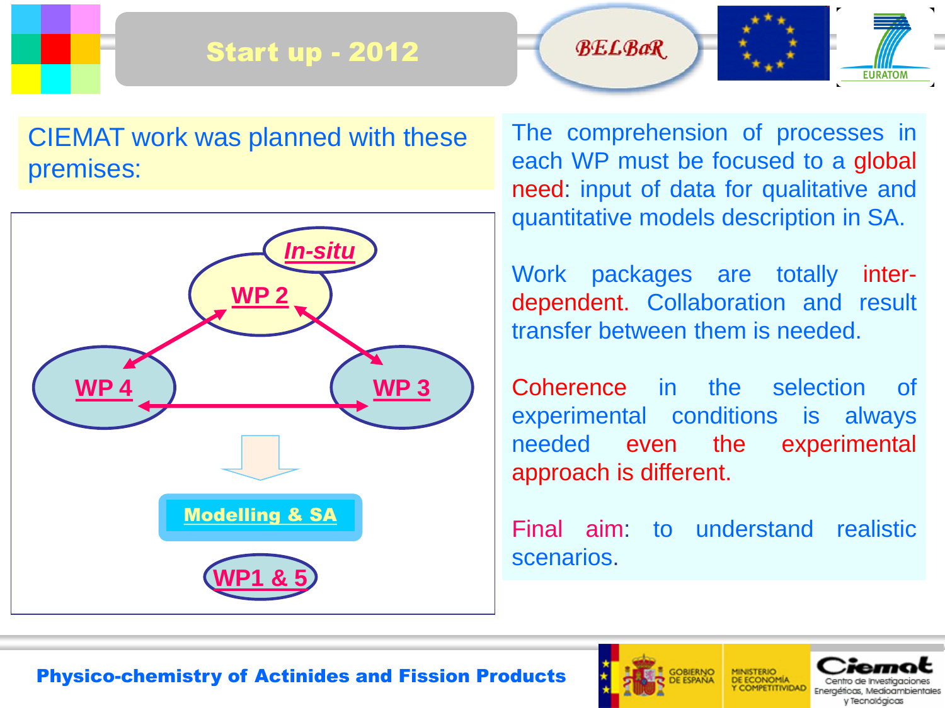# Start up - 2012





The comprehension of processes in each WP must be focused to a global need: input of data for qualitative and quantitative models description in SA.

**FURATOM** 

**BELBaR** 

Work packages are totally interdependent. Collaboration and result transfer between them is needed.

Coherence in the selection of experimental conditions is always needed even the experimental approach is different.

Final aim: to understand realistic scenarios.



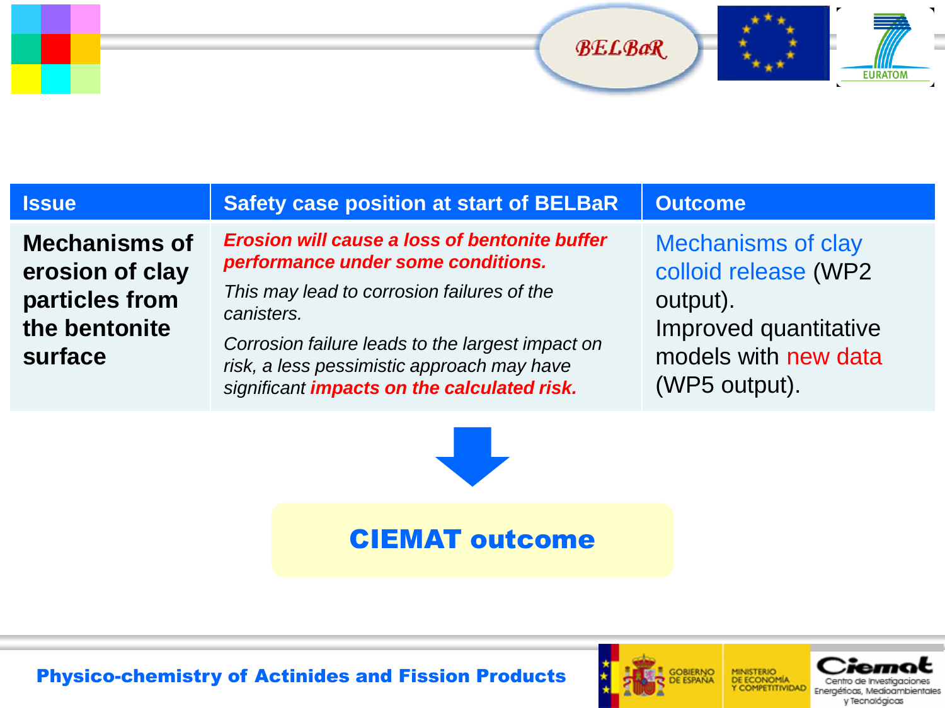



 $\sim$ 

| <b>Issue</b>                                                                          | <b>Safety case position at start of BELBaR</b>                                                                                                                                                                                                                                                                 | <b>Outcome</b>                                                                                                                  |
|---------------------------------------------------------------------------------------|----------------------------------------------------------------------------------------------------------------------------------------------------------------------------------------------------------------------------------------------------------------------------------------------------------------|---------------------------------------------------------------------------------------------------------------------------------|
| <b>Mechanisms of</b><br>erosion of clay<br>particles from<br>the bentonite<br>surface | <b>Erosion will cause a loss of bentonite buffer</b><br>performance under some conditions.<br>This may lead to corrosion failures of the<br>canisters.<br>Corrosion failure leads to the largest impact on<br>risk, a less pessimistic approach may have<br>significant <i>impacts on the calculated risk.</i> | <b>Mechanisms of clay</b><br>colloid release (WP2<br>output).<br>Improved quantitative<br>models with new data<br>(WP5 output). |



# CIEMAT outcome

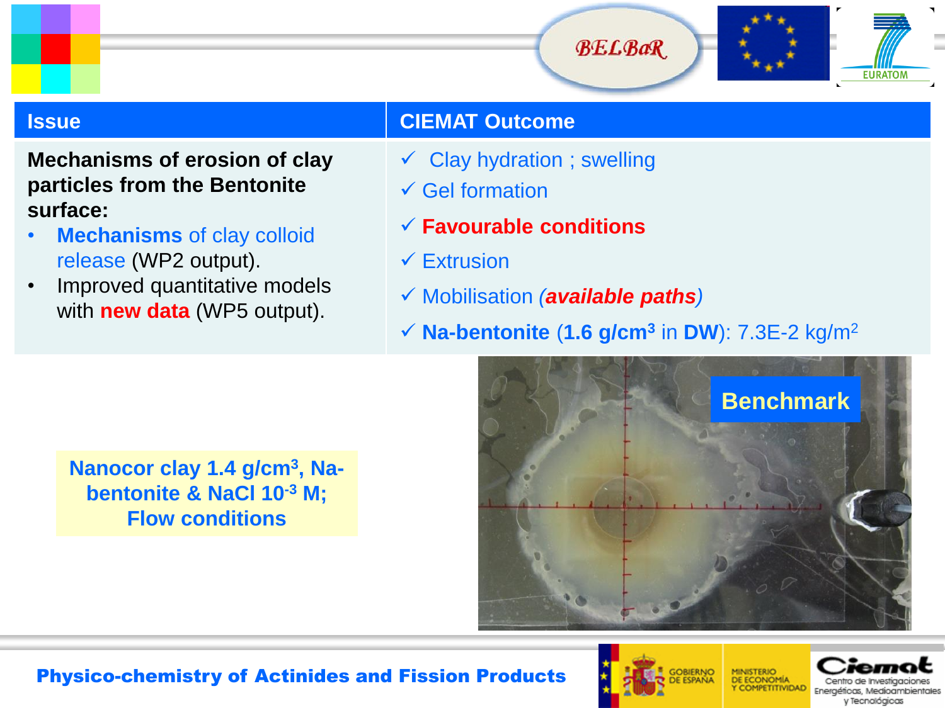

### **Mechanisms of erosion of clay particles from the Bentonite surface:**

- **Mechanisms** of clay colloid release (WP2 output).
- Improved quantitative models with **new data** (WP5 output).

# **Issue CIEMAT Outcome**

- $\checkmark$  Clay hydration; swelling
- $\checkmark$  Gel formation
- **Favourable conditions**
- $\checkmark$  Extrusion
- Mobilisation *(available paths)*
- $\checkmark$  **Na-bentonite** (1.6 g/cm<sup>3</sup> in DW): 7.3E-2 kg/m<sup>2</sup>



**Nanocor clay 1.4 g/cm<sup>3</sup> , Nabentonite & NaCl 10-3 M; Flow conditions**



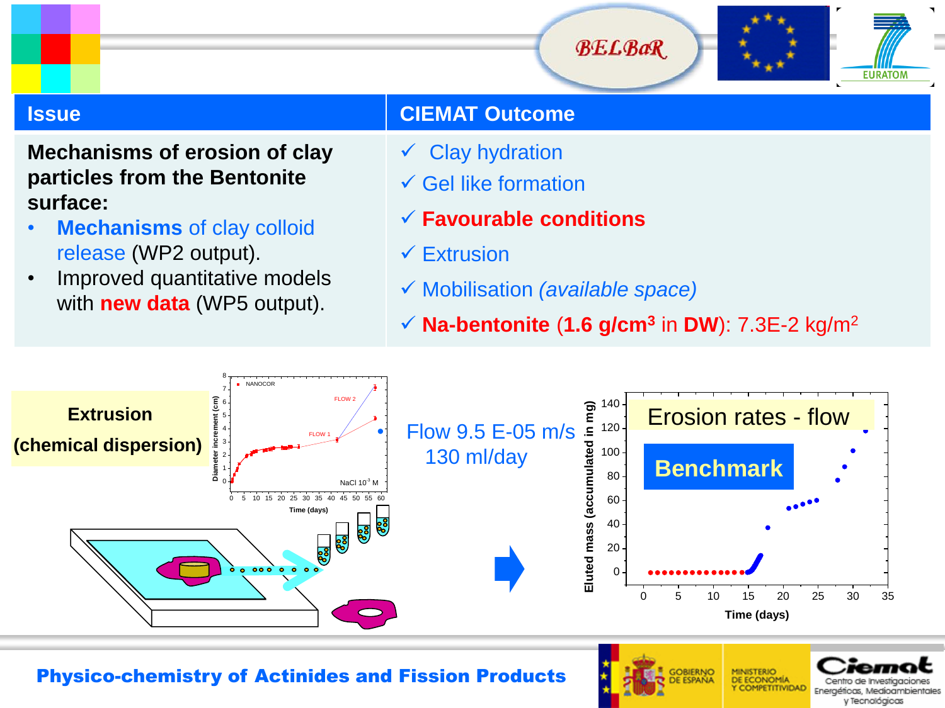

### **Mechanisms of erosion of clay particles from the Bentonite surface:**

- **Mechanisms** of clay colloid release (WP2 output).
- Improved quantitative models with **new data** (WP5 output).

# **Issue CIEMAT Outcome**

- $\checkmark$  Clay hydration
- $\checkmark$  Gel like formation
- **Favourable conditions**
- $\checkmark$  Extrusion
- Mobilisation *(available space)*
- **Na-bentonite** (**1.6 g/cm<sup>3</sup>** in **DW**): 7.3E-2 kg/m<sup>2</sup>



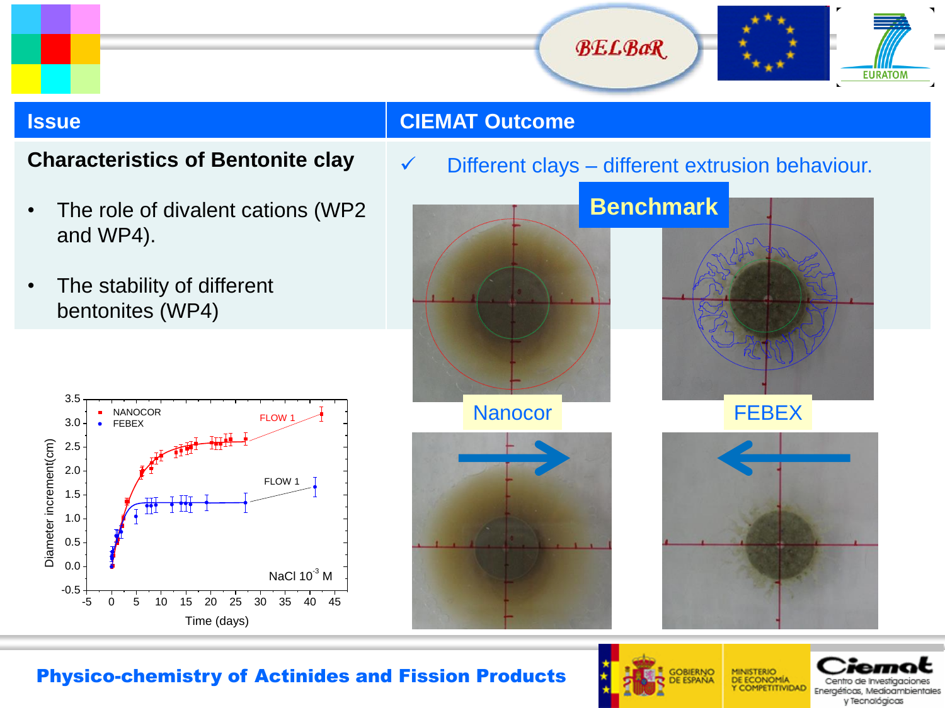



### **Characteristics of Bentonite clay**

- The role of divalent cations (WP2 and WP4).
- The stability of different bentonites (WP4)



 $\checkmark$  Different clays – different extrusion behaviour.



![](_page_5_Picture_12.jpeg)

![](_page_5_Picture_13.jpeg)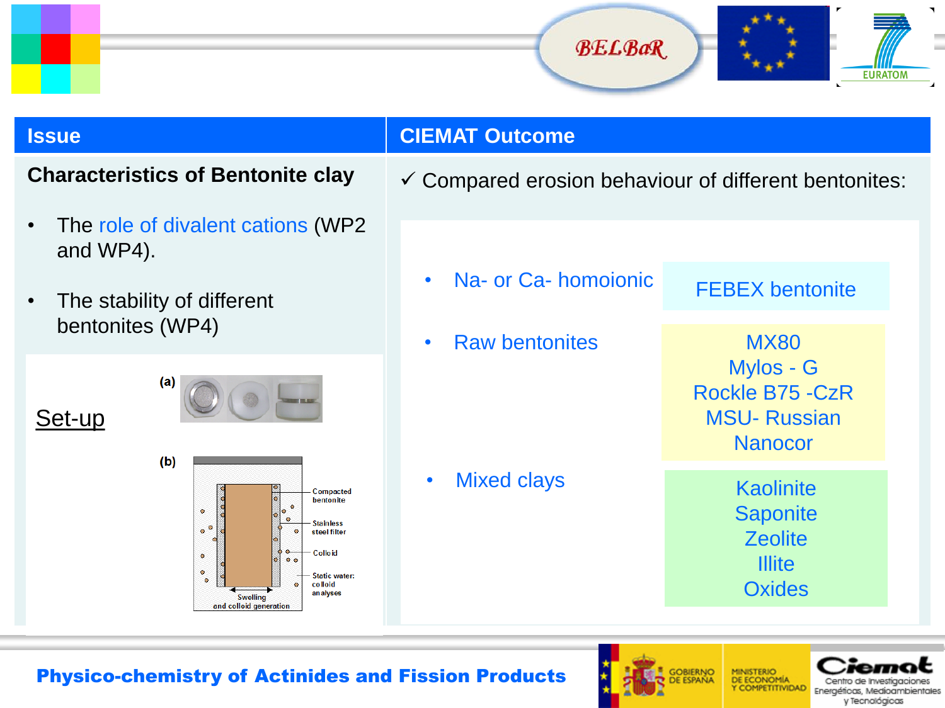![](_page_6_Picture_0.jpeg)

![](_page_6_Picture_1.jpeg)

### **Characteristics of Bentonite clay**

- The role of divalent cations (WP2 and WP4).
- The stability of different bentonites (WP4)

Set-up

![](_page_6_Figure_7.jpeg)

![](_page_6_Figure_8.jpeg)

### **Issue CIEMAT Outcome**

 $\checkmark$  Compared erosion behaviour of different bentonites:

MX80 FEBEX bentonite • Raw bentonites • Na- or Ca- homoionic

Mylos - G Rockle B75 -CzR MSU- Russian **Nanocor** 

• Mixed clays Kaolinite **Saponite Zeolite Illite Oxides** 

![](_page_6_Picture_15.jpeg)

![](_page_6_Picture_16.jpeg)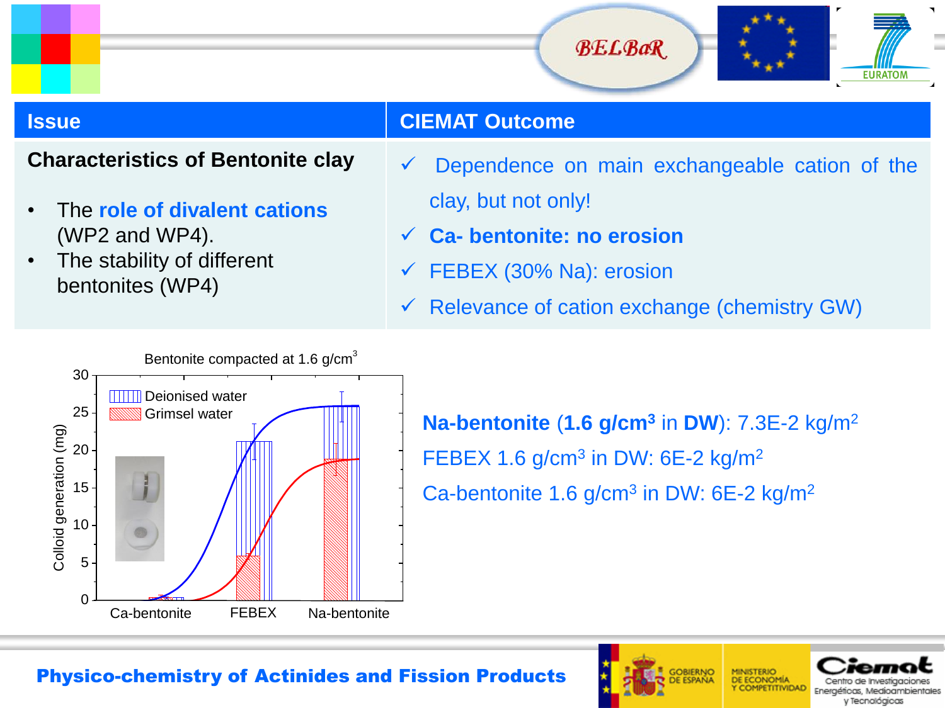![](_page_7_Picture_0.jpeg)

![](_page_7_Picture_1.jpeg)

### **Characteristics of Bentonite clay**

- The **role of divalent cations** (WP2 and WP4).
- The stability of different bentonites (WP4)
- Dependence on main exchangeable cation of the clay, but not only!
- **Ca- bentonite: no erosion**
- $\checkmark$  FEBEX (30% Na): erosion
- $\checkmark$  Relevance of cation exchange (chemistry GW)

![](_page_7_Figure_11.jpeg)

**Na-bentonite** (**1.6 g/cm<sup>3</sup>** in **DW**): 7.3E-2 kg/m<sup>2</sup> FEBEX 1.6 g/cm<sup>3</sup> in DW: 6E-2 kg/m<sup>2</sup> Ca-bentonite 1.6 g/cm<sup>3</sup> in DW: 6E-2 kg/m<sup>2</sup>

![](_page_7_Picture_14.jpeg)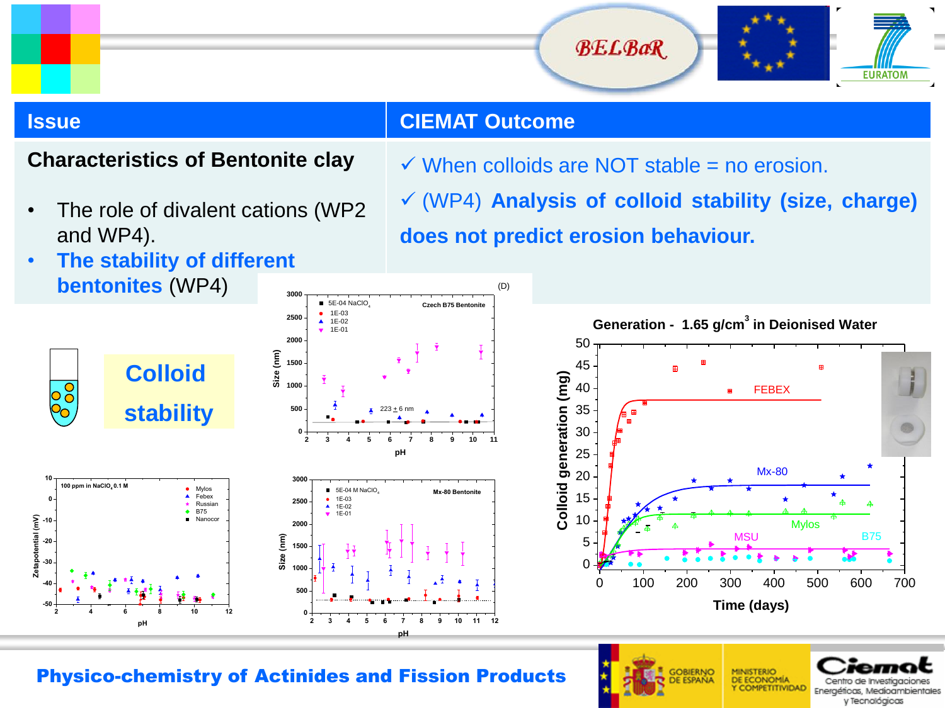![](_page_8_Picture_1.jpeg)

**-50**

**-40 -30 -20 -10 0**

 $\overline{\bigcirc}$ 

# **Issue CIEMAT Outcome**

(D)

### **Characteristics of Bentonite clay**

The role of divalent cations (WP2) and WP4).

 $\checkmark$  When colloids are NOT stable = no erosion.

 (WP4) **Analysis of colloid stability (size, charge) does not predict erosion behaviour.**

• **The stability of different bentonites** (WP4)

**2 4 6 8 10 12**

**pH**

![](_page_8_Figure_9.jpeg)

![](_page_8_Figure_10.jpeg)

**MINISTERIO** DE ECONOMÍA

Y COMPETITIVIDAD

Centro de investigaciones

Energéticas, Medioambientales y Tecnológicas

GOBIERNO

Physico-chemistry of Actinides and Fission Products

**0**

**pH**

**Mx-80 Bentonit** 

**Czech B75 Bentonite**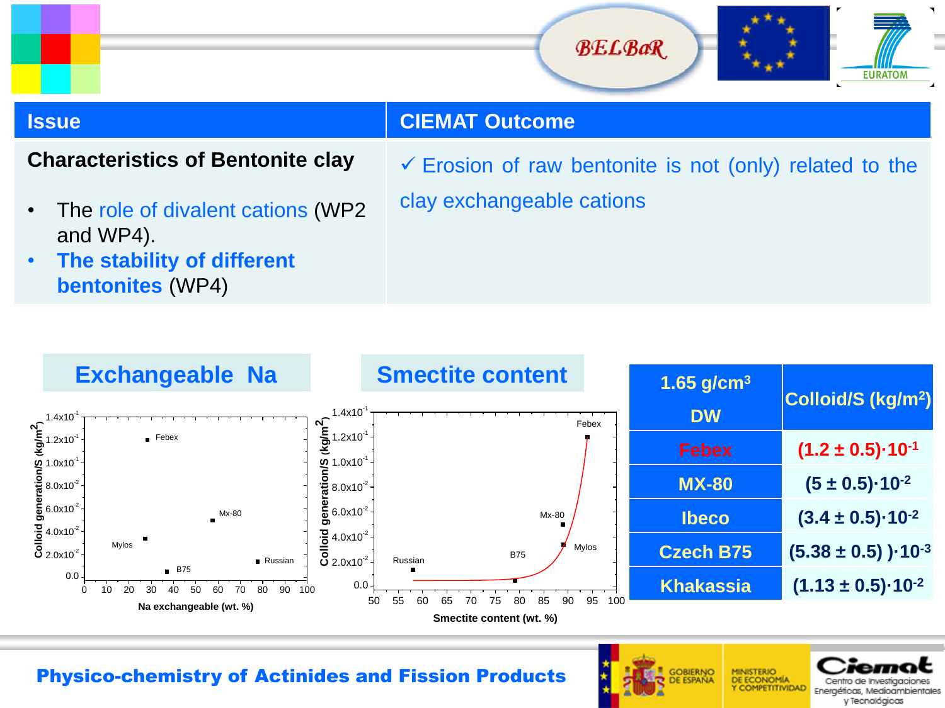![](_page_9_Picture_0.jpeg)

![](_page_9_Picture_1.jpeg)

### **Characteristics of Bentonite clay**

The role of divalent cations (WP2) and WP4).

 $\checkmark$  Erosion of raw bentonite is not (only) related to the clay exchangeable cations

• **The stability of different bentonites** (WP4)

![](_page_9_Figure_8.jpeg)

![](_page_9_Picture_10.jpeg)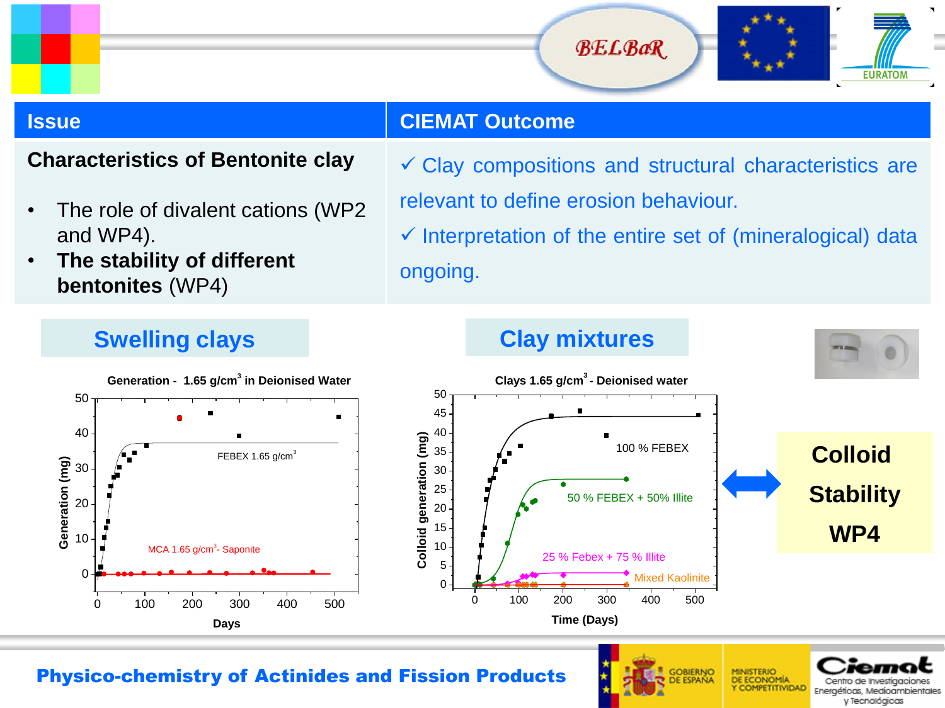![](_page_10_Picture_1.jpeg)

### **Characteristics of Bentonite clay**

- The role of divalent cations (WP2) and WP4).
- **The stability of different bentonites** (WP4)

# $\checkmark$  Clay compositions and structural characteristics are relevant to define erosion behaviour.

 $\checkmark$  Interpretation of the entire set of (mineralogical) data ongoing.

![](_page_10_Figure_10.jpeg)

![](_page_10_Figure_11.jpeg)

**GOBIERNO** 

**MINISTERIO JE ECONOMIA** Y COMPETITIVIDAD

Energéticas, Medioambientale y Tecnológicas

### Physico-chemistry of Actinides and Fission Products

# **Swelling clays Clay mixtures**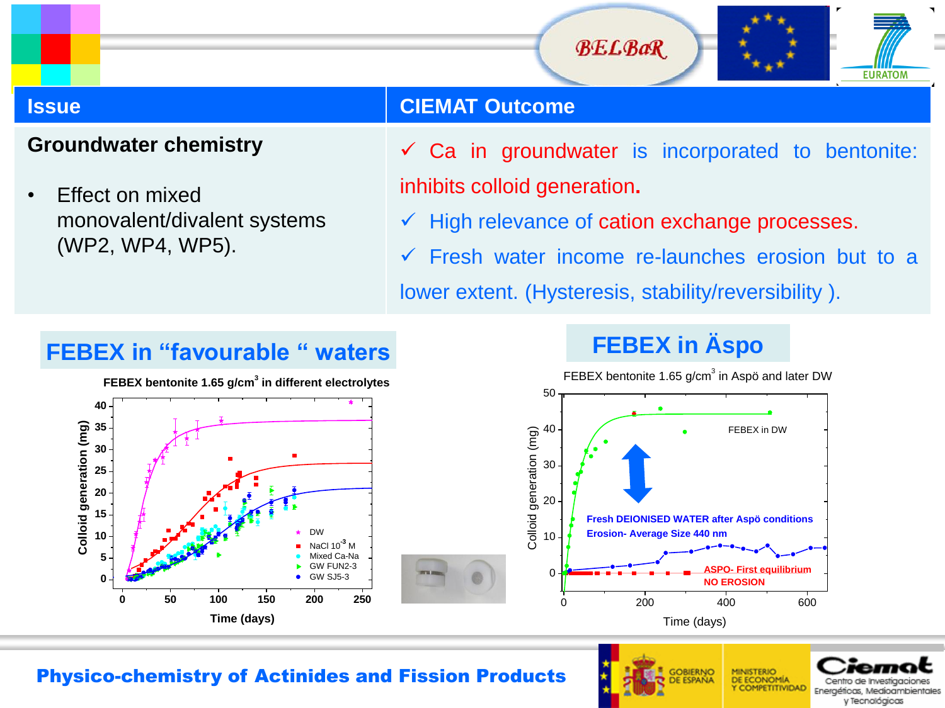![](_page_11_Picture_1.jpeg)

### **Groundwater chemistry**

**0**

**SEC**<br> **COLLOCATER**<br> **COLLOCATER**<br> **COLLOCATER**<br> **COLLOCATER**<br> **COLLOCATER**<br> **COLLOCATER** 

**5**

**40**

• Effect on mixed monovalent/divalent systems (WP2, WP4, WP5).

### **Issue CIEMAT Outcome**

- Ca in groundwater is incorporated to bentonite: inhibits colloid generation**.**
- $\checkmark$  High relevance of cation exchange processes.
- Fresh water income re-launches erosion but to a lower extent. (Hysteresis, stability/reversibility ).

# **FEBEX in "favourable " waters FEBEX in Äspo**

**FEBEX bentonite 1.65 g/cm<sup>3</sup> in different electrolytes** 

![](_page_11_Figure_11.jpeg)

![](_page_11_Figure_12.jpeg)

### Physico-chemistry of Actinides and Fission Products

**GOBIERNO** 

![](_page_11_Picture_15.jpeg)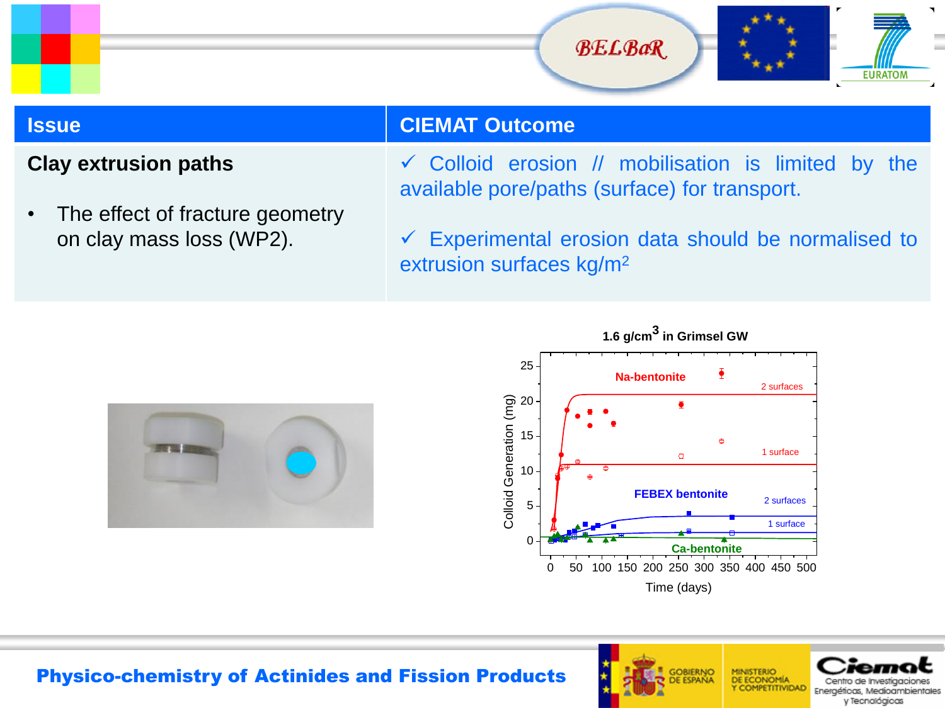![](_page_12_Picture_0.jpeg)

![](_page_12_Picture_1.jpeg)

### **Clay extrusion paths**

• The effect of fracture geometry on clay mass loss (WP2).

 $\checkmark$  Colloid erosion // mobilisation is limited by the available pore/paths (surface) for transport.

 $\checkmark$  Experimental erosion data should be normalised to extrusion surfaces kg/m<sup>2</sup>

![](_page_12_Picture_8.jpeg)

![](_page_12_Figure_9.jpeg)

![](_page_12_Picture_10.jpeg)

![](_page_12_Picture_11.jpeg)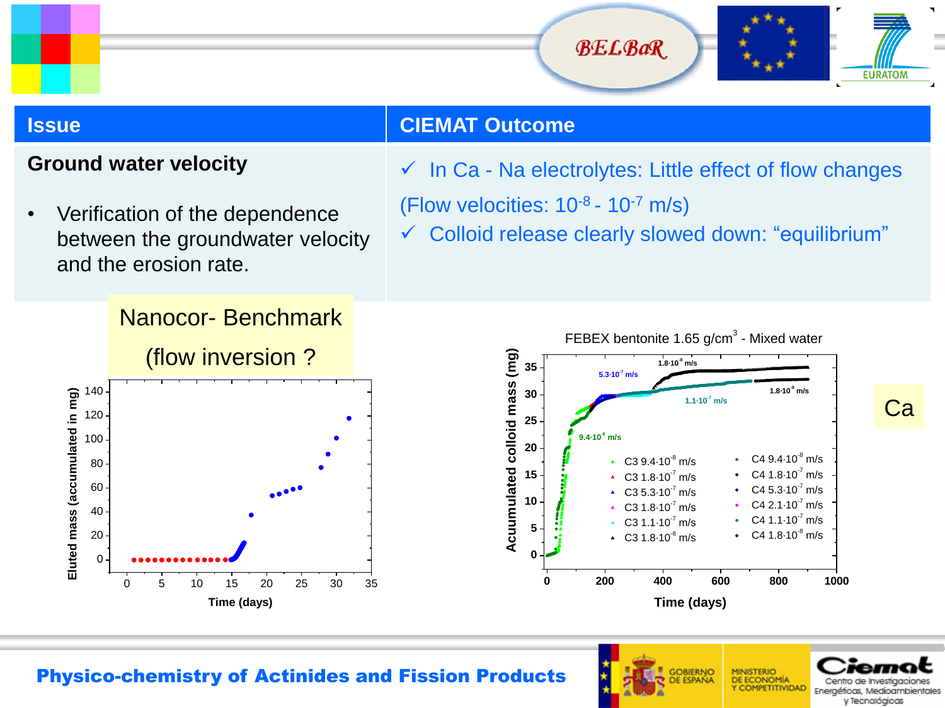![](_page_13_Picture_1.jpeg)

Ca

### **Issue CIEMAT Outcome**

### **Ground water velocity**

• Verification of the dependence between the groundwater velocity and the erosion rate.

 $\checkmark$  In Ca - Na electrolytes: Little effect of flow changes

- (Flow velocities:  $10^{-8}$   $10^{-7}$  m/s)
- $\checkmark$  Colloid release clearly slowed down: "equilibrium"

![](_page_13_Figure_9.jpeg)

![](_page_13_Figure_10.jpeg)

![](_page_13_Picture_12.jpeg)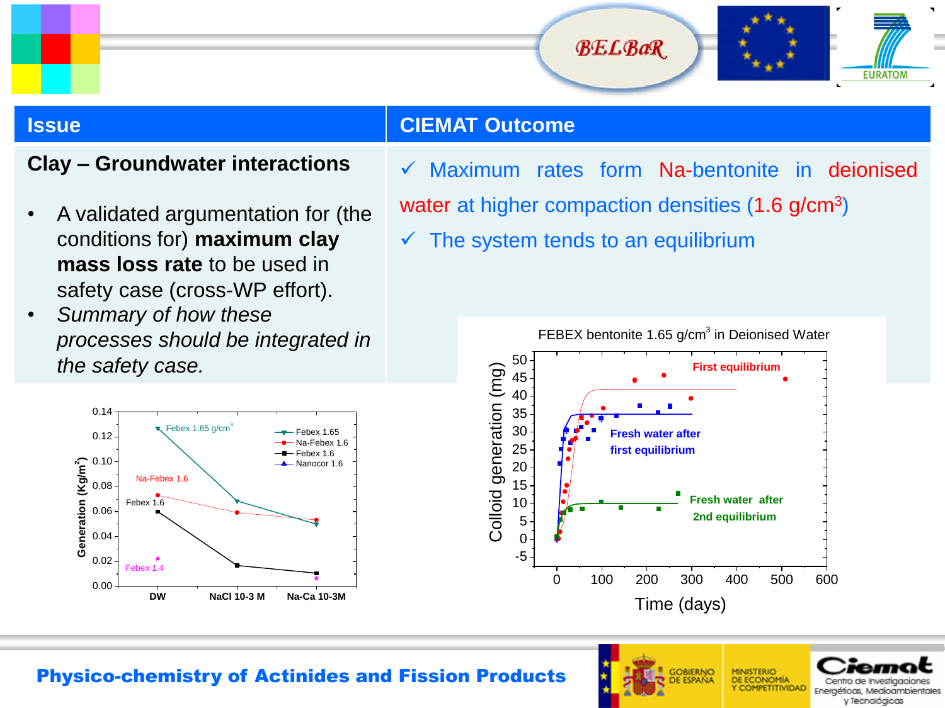![](_page_14_Picture_1.jpeg)

### **Clay – Groundwater interactions**

- A validated argumentation for (the conditions for) **maximum clay mass loss rate** to be used in safety case (cross-WP effort).
- *Summary of how these processes should be integrated in the safety case.*

![](_page_14_Figure_7.jpeg)

 $\checkmark$  Maximum rates form Na-bentonite in deionised water at higher compaction densities (1.6 g/cm<sup>3</sup>)

 $\checkmark$  The system tends to an equilibrium

![](_page_14_Figure_10.jpeg)

![](_page_14_Picture_12.jpeg)